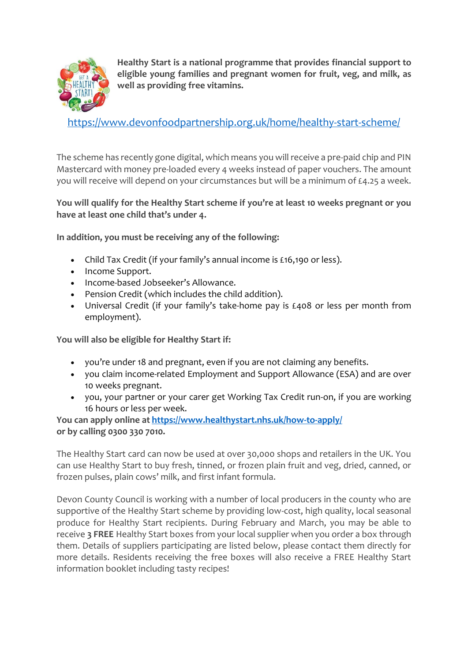

**Healthy Start is a national programme that provides financial support to eligible young families and pregnant women for fruit, veg, and milk, as well as providing free vitamins.**

<https://www.devonfoodpartnership.org.uk/home/healthy-start-scheme/>

The scheme has recently gone digital, which means you will receive a pre-paid chip and PIN Mastercard with money pre-loaded every 4 weeks instead of paper vouchers. The amount you will receive will depend on your circumstances but will be a minimum of £4.25 a week.

#### **You will qualify for the Healthy Start scheme if you're at least 10 weeks pregnant or you have at least one child that's under 4.**

**In addition, you must be receiving any of the following:**

- Child Tax Credit (if your family's annual income is £16,190 or less).
- Income Support.
- Income-based Jobseeker's Allowance.
- Pension Credit (which includes the child addition).
- Universal Credit (if your family's take-home pay is £408 or less per month from employment).

**You will also be eligible for Healthy Start if:**

- you're under 18 and pregnant, even if you are not claiming any benefits.
- you claim income-related Employment and Support Allowance (ESA) and are over 10 weeks pregnant.
- you, your partner or your carer get Working Tax Credit run-on, if you are working 16 hours or less per week.

**You can apply online at <https://www.healthystart.nhs.uk/how-to-apply/> or by calling 0300 330 7010.**

The Healthy Start card can now be used at over 30,000 shops and retailers in the UK. You can use Healthy Start to buy fresh, tinned, or frozen plain fruit and veg, dried, canned, or frozen pulses, plain cows' milk, and first infant formula.

Devon County Council is working with a number of local producers in the county who are supportive of the Healthy Start scheme by providing low-cost, high quality, local seasonal produce for Healthy Start recipients. During February and March, you may be able to receive **3 FREE** Healthy Start boxes from your local supplier when you order a box through them. Details of suppliers participating are listed below, please contact them directly for more details. Residents receiving the free boxes will also receive a FREE Healthy Start information booklet including tasty recipes!